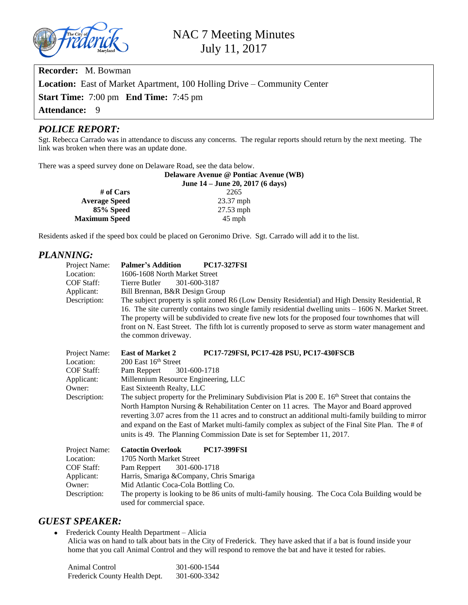

NAC 7 Meeting Minutes July 11, 2017

**Recorder:** M. Bowman

**Location:** East of Market Apartment, 100 Holling Drive – Community Center

**Start Time:** 7:00 pm **End Time:** 7:45 pm

Attendance: 9

#### *POLICE REPORT:*

Sgt. Rebecca Carrado was in attendance to discuss any concerns. The regular reports should return by the next meeting. The link was broken when there was an update done.

There was a speed survey done on Delaware Road, see the data below.

|                      | Delaware Avenue @ Pontiac Avenue (WB) |  |  |
|----------------------|---------------------------------------|--|--|
|                      | June 14 – June 20, 2017 (6 days)      |  |  |
| # of Cars            | 2265                                  |  |  |
| <b>Average Speed</b> | 23.37 mph                             |  |  |
| 85% Speed            | 27.53 mph                             |  |  |
| <b>Maximum Speed</b> | $45$ mph                              |  |  |

Residents asked if the speed box could be placed on Geronimo Drive. Sgt. Carrado will add it to the list.

#### *PLANNING:*

| Project Name: | <b>Palmer's Addition</b><br><b>PC17-327FSI</b>                                                                                                                                                                                                                                                                                                                                                                                                |  |
|---------------|-----------------------------------------------------------------------------------------------------------------------------------------------------------------------------------------------------------------------------------------------------------------------------------------------------------------------------------------------------------------------------------------------------------------------------------------------|--|
| Location:     | 1606-1608 North Market Street                                                                                                                                                                                                                                                                                                                                                                                                                 |  |
| COF Staff:    | 301-600-3187<br>Tierre Butler                                                                                                                                                                                                                                                                                                                                                                                                                 |  |
| Applicant:    | Bill Brennan, B&R Design Group                                                                                                                                                                                                                                                                                                                                                                                                                |  |
| Description:  | The subject property is split zoned R6 (Low Density Residential) and High Density Residential, R<br>16. The site currently contains two single family residential dwelling units – 1606 N. Market Street.<br>The property will be subdivided to create five new lots for the proposed four townhomes that will<br>front on N. East Street. The fifth lot is currently proposed to serve as storm water management and<br>the common driveway. |  |
|               |                                                                                                                                                                                                                                                                                                                                                                                                                                               |  |

| Project Name:     | PC17-729FSI, PC17-428 PSU, PC17-430FSCB<br><b>East of Market 2</b>                                    |  |  |  |  |  |
|-------------------|-------------------------------------------------------------------------------------------------------|--|--|--|--|--|
| Location:         | $200$ East $16th$ Street                                                                              |  |  |  |  |  |
| <b>COF Staff:</b> | Pam Reppert<br>301-600-1718                                                                           |  |  |  |  |  |
| Applicant:        | Millennium Resource Engineering, LLC                                                                  |  |  |  |  |  |
| Owner:            | East Sixteenth Realty, LLC                                                                            |  |  |  |  |  |
| Description:      | The subject property for the Preliminary Subdivision Plat is 200 E. 16th Street that contains the     |  |  |  |  |  |
|                   | North Hampton Nursing & Rehabilitation Center on 11 acres. The Mayor and Board approved               |  |  |  |  |  |
|                   | reverting 3.07 acres from the 11 acres and to construct an additional multi-family building to mirror |  |  |  |  |  |
|                   | and expand on the East of Market multi-family complex as subject of the Final Site Plan. The # of     |  |  |  |  |  |
|                   | units is 49. The Planning Commission Date is set for September 11, 2017.                              |  |  |  |  |  |
| Project Name:     | <b>Catoctin Overlook</b><br><b>PC17-399FSI</b>                                                        |  |  |  |  |  |
| Location:         | 1705 North Market Street                                                                              |  |  |  |  |  |
| COF Staff:        | 301-600-1718<br>Pam Reppert                                                                           |  |  |  |  |  |
| Applicant:        | Harris, Smariga & Company, Chris Smariga                                                              |  |  |  |  |  |

Owner: Mid Atlantic Coca-Cola Bottling Co.

Description: The property is looking to be 86 units of multi-family housing. The Coca Cola Building would be used for commercial space.

#### *GUEST SPEAKER:*

 Frederick County Health Department – Alicia Alicia was on hand to talk about bats in the City of Frederick. They have asked that if a bat is found inside your home that you call Animal Control and they will respond to remove the bat and have it tested for rabies.

| Animal Control                | 301-600-1544 |
|-------------------------------|--------------|
| Frederick County Health Dept. | 301-600-3342 |